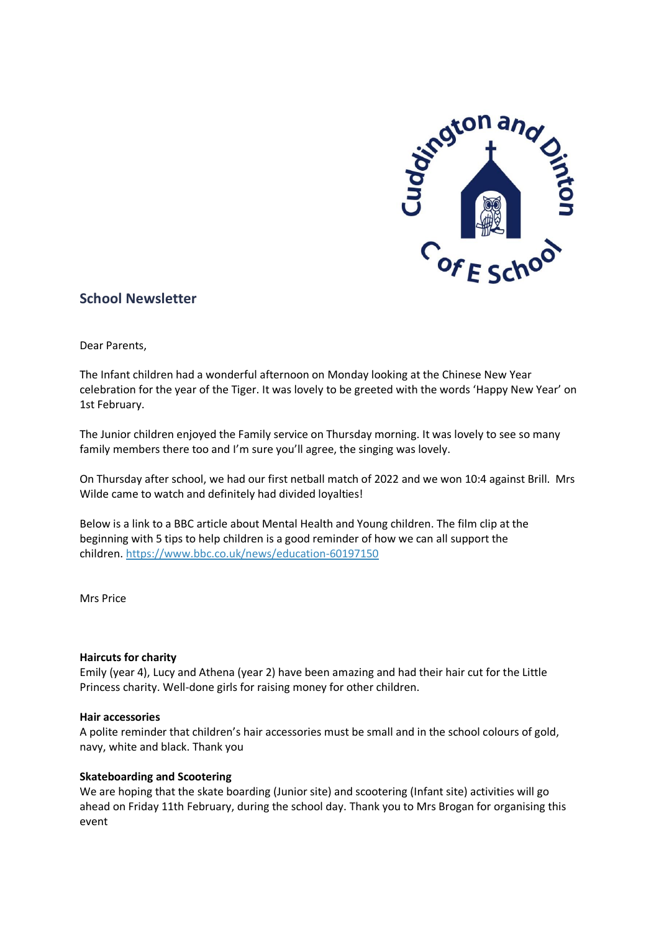

# **School Newsletter**

Dear Parents,

The Infant children had a wonderful afternoon on Monday looking at the Chinese New Year celebration for the year of the Tiger. It was lovely to be greeted with the words 'Happy New Year' on 1st February.

The Junior children enjoyed the Family service on Thursday morning. It was lovely to see so many family members there too and I'm sure you'll agree, the singing was lovely.

On Thursday after school, we had our first netball match of 2022 and we won 10:4 against Brill. Mrs Wilde came to watch and definitely had divided loyalties!

Below is a link to a BBC article about Mental Health and Young children. The film clip at the beginning with 5 tips to help children is a good reminder of how we can all support the children. <https://www.bbc.co.uk/news/education-60197150>

Mrs Price

#### **Haircuts for charity**

Emily (year 4), Lucy and Athena (year 2) have been amazing and had their hair cut for the Little Princess charity. Well-done girls for raising money for other children.

#### **Hair accessories**

A polite reminder that children's hair accessories must be small and in the school colours of gold, navy, white and black. Thank you

#### **Skateboarding and Scootering**

We are hoping that the skate boarding (Junior site) and scootering (Infant site) activities will go ahead on Friday 11th February, during the school day. Thank you to Mrs Brogan for organising this event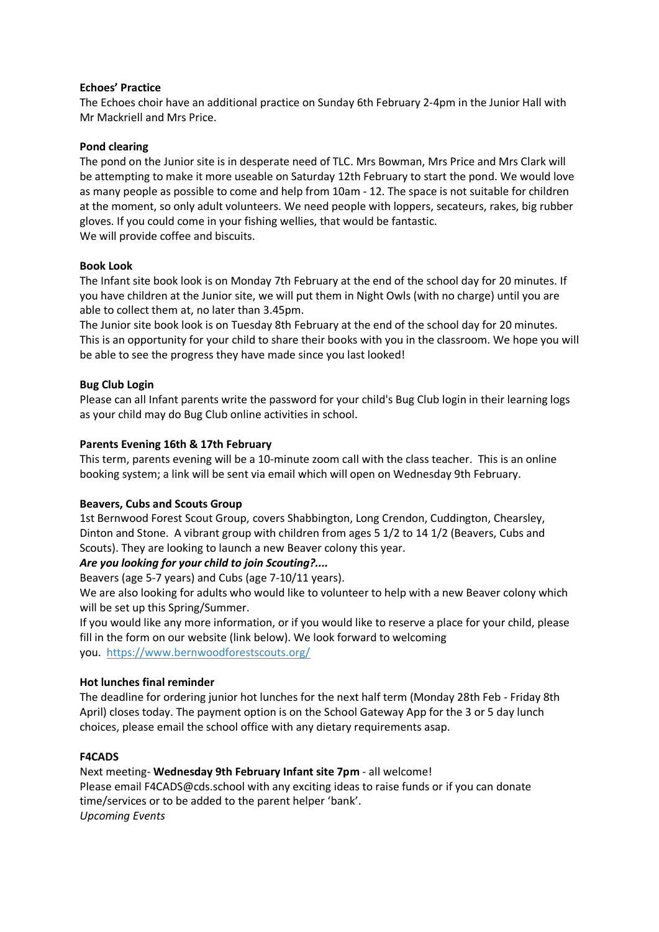### **Echoes' Practice**

The Echoes choir have an additional practice on Sunday 6th February 2-4pm in the Junior Hall with Mr Mackriell and Mrs Price.

### **Pond clearing**

The pond on the Junior site is in desperate need of TLC. Mrs Bowman, Mrs Price and Mrs Clark will be attempting to make it more useable on Saturday 12th February to start the pond. We would love as many people as possible to come and help from 10am - 12. The space is not suitable for children at the moment, so only adult volunteers. We need people with loppers, secateurs, rakes, big rubber gloves. If you could come in your fishing wellies, that would be fantastic. We will provide coffee and biscuits.

## **Book Look**

The Infant site book look is on Monday 7th February at the end of the school day for 20 minutes. If you have children at the Junior site, we will put them in Night Owls (with no charge) until you are able to collect them at, no later than 3.45pm.

The Junior site book look is on Tuesday 8th February at the end of the school day for 20 minutes. This is an opportunity for your child to share their books with you in the classroom. We hope you will be able to see the progress they have made since you last looked!

## **Bug Club Login**

Please can all Infant parents write the password for your child's Bug Club login in their learning logs as your child may do Bug Club online activities in school.

## **Parents Evening 16th & 17th February**

This term, parents evening will be a 10-minute zoom call with the class teacher. This is an online booking system; a link will be sent via email which will open on Wednesday 9th February.

### **Beavers, Cubs and Scouts Group**

1st Bernwood Forest Scout Group, covers Shabbington, Long Crendon, Cuddington, Chearsley, Dinton and Stone. A vibrant group with children from ages 5 1/2 to 14 1/2 (Beavers, Cubs and Scouts). They are looking to launch a new Beaver colony this year.

## *Are you looking for your child to join Scouting?....*

Beavers (age 5-7 years) and Cubs (age 7-10/11 years).

We are also looking for adults who would like to volunteer to help with a new Beaver colony which will be set up this Spring/Summer.

If you would like any more information, or if you would like to reserve a place for your child, please fill in the form on our website (link below). We look forward to welcoming you. <https://www.bernwoodforestscouts.org/>

## **Hot lunches final reminder**

The deadline for ordering junior hot lunches for the next half term (Monday 28th Feb - Friday 8th April) closes today. The payment option is on the School Gateway App for the 3 or 5 day lunch choices, please email the school office with any dietary requirements asap.

### **F4CADS**

Next meeting- **Wednesday 9th February Infant site 7pm** - all welcome!

Please email F4CADS@cds.school with any exciting ideas to raise funds or if you can donate time/services or to be added to the parent helper 'bank'. *Upcoming Events*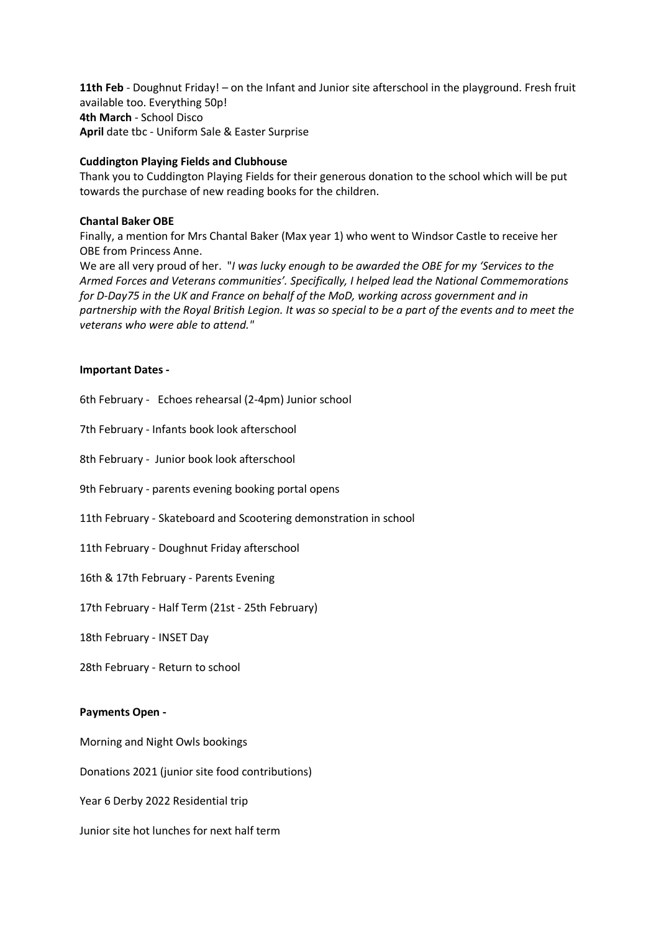**11th Feb** - Doughnut Friday! – on the Infant and Junior site afterschool in the playground. Fresh fruit available too. Everything 50p! **4th March** - School Disco **April** date tbc - Uniform Sale & Easter Surprise

### **Cuddington Playing Fields and Clubhouse**

Thank you to Cuddington Playing Fields for their generous donation to the school which will be put towards the purchase of new reading books for the children.

### **Chantal Baker OBE**

Finally, a mention for Mrs Chantal Baker (Max year 1) who went to Windsor Castle to receive her OBE from Princess Anne.

We are all very proud of her. "*I was lucky enough to be awarded the OBE for my 'Services to the Armed Forces and Veterans communities'. Specifically, I helped lead the National Commemorations for D-Day75 in the UK and France on behalf of the MoD, working across government and in* partnership with the Royal British Legion. It was so special to be a part of the events and to meet the *veterans who were able to attend."*

### **Important Dates -**

6th February - Echoes rehearsal (2-4pm) Junior school

7th February - Infants book look afterschool

8th February - Junior book look afterschool

9th February - parents evening booking portal opens

11th February - Skateboard and Scootering demonstration in school

11th February - Doughnut Friday afterschool

16th & 17th February - Parents Evening

17th February - Half Term (21st - 25th February)

18th February - INSET Day

28th February - Return to school

### **Payments Open -**

Morning and Night Owls bookings

Donations 2021 (junior site food contributions)

Year 6 Derby 2022 Residential trip

Junior site hot lunches for next half term